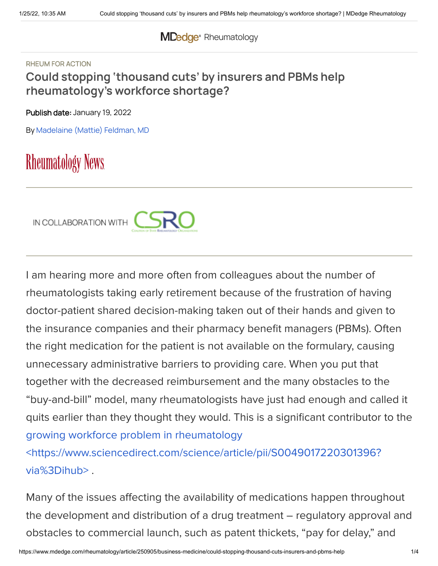## **MDedge** [Rheumatology](https://www.mdedge.com/rheumatology)

#### RHEUM FOR ACTION

## **Could stopping 'thousand cuts' by insurers and PBMs help rheumatology's workforce shortage?**

Publish date: January 19, 2022

By [Madelaine](https://www.mdedge.com/authors/madelaine-mattie-feldman-md) (Mattie) Feldman, MD

# **Rheumatology News**



I am hearing more and more often from colleagues about the number of rheumatologists taking early retirement because of the frustration of having doctor-patient shared decision-making taken out of their hands and given to the insurance companies and their pharmacy benefit managers (PBMs). Often the right medication for the patient is not available on the formulary, causing unnecessary administrative barriers to providing care. When you put that together with the decreased reimbursement and the many obstacles to the "buy-and-bill" model, many rheumatologists have just had enough and called it quits earlier than they thought they would. This is a significant contributor to the growing workforce problem in rheumatology

[<https://www.sciencedirect.com/science/article/pii/S0049017220301396?](https://www.sciencedirect.com/science/article/pii/S0049017220301396?via%3Dihub) via%3Dihub> .

Many of the issues affecting the availability of medications happen throughout the development and distribution of a drug treatment – regulatory approval and obstacles to commercial launch, such as patent thickets, "pay for delay," and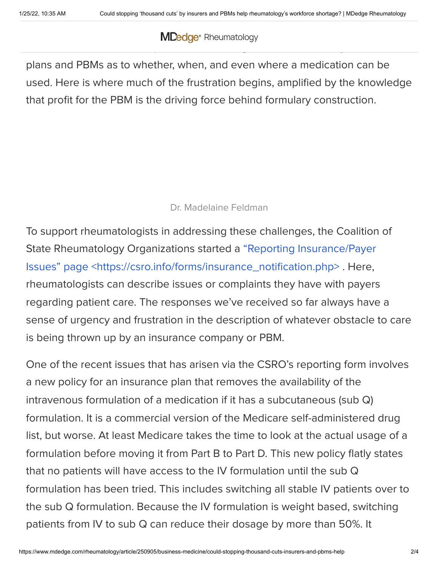### $\blacksquare$ launched on to the marketplace, rheumatologists are at the mercy of the health **MDedge** [Rheumatology](https://www.mdedge.com/rheumatology)

plans and PBMs as to whether, when, and even where a medication can be used. Here is where much of the frustration begins, amplified by the knowledge that profit for the PBM is the driving force behind formulary construction.

### Dr. Madelaine Feldman

To support rheumatologists in addressing these challenges, the Coalition of State Rheumatology Organizations started a "Reporting Insurance/Payer Issues" page [<https://csro.info/forms/insurance\\_notification.php>](https://csro.info/forms/insurance_notification.php) . Here, rheumatologists can describe issues or complaints they have with payers regarding patient care. The responses we've received so far always have a sense of urgency and frustration in the description of whatever obstacle to care is being thrown up by an insurance company or PBM.

One of the recent issues that has arisen via the CSRO's reporting form involves a new policy for an insurance plan that removes the availability of the intravenous formulation of a medication if it has a subcutaneous (sub Q) formulation. It is a commercial version of the Medicare self-administered drug list, but worse. At least Medicare takes the time to look at the actual usage of a formulation before moving it from Part B to Part D. This new policy flatly states that no patients will have access to the IV formulation until the sub Q formulation has been tried. This includes switching all stable IV patients over to the sub Q formulation. Because the IV formulation is weight based, switching patients from IV to sub Q can reduce their dosage by more than 50%. It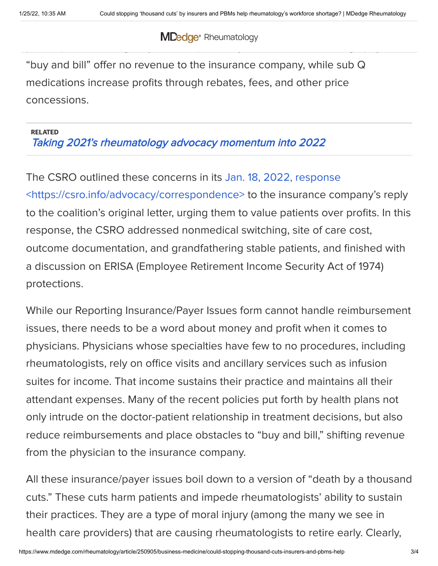$\mathsf{MD}_{\mathsf{A}}$  decontrol is a small price to pay for increase  $\mathsf{PL}_{\mathsf{A}}$ profits (called "savings" by the PBM). Notably, IV medications through physician **MDedge** [Rheumatology](https://www.mdedge.com/rheumatology)

"buy and bill" offer no revenue to the insurance company, while sub Q medications increase profits through rebates, fees, and other price concessions.

### RELATED Taking 2021's [rheumatology](https://www.mdedge.com/rheumatology/article/248589/business-medicine/taking-2021s-rheumatology-advocacy-momentum-2022) advocacy momentum into 2022

The CSRO outlined these concerns in its Jan. 18, 2022, response [<https://csro.info/advocacy/correspondence>](https://csro.info/advocacy/correspondence) to the insurance company's reply to the coalition's original letter, urging them to value patients over profits. In this response, the CSRO addressed nonmedical switching, site of care cost, outcome documentation, and grandfathering stable patients, and finished with a discussion on ERISA (Employee Retirement Income Security Act of 1974) protections.

While our Reporting Insurance/Payer Issues form cannot handle reimbursement issues, there needs to be a word about money and profit when it comes to physicians. Physicians whose specialties have few to no procedures, including rheumatologists, rely on office visits and ancillary services such as infusion suites for income. That income sustains their practice and maintains all their attendant expenses. Many of the recent policies put forth by health plans not only intrude on the doctor-patient relationship in treatment decisions, but also reduce reimbursements and place obstacles to "buy and bill," shifting revenue from the physician to the insurance company.

All these insurance/payer issues boil down to a version of "death by a thousand cuts." These cuts harm patients and impede rheumatologists' ability to sustain their practices. They are a type of moral injury (among the many we see in health care providers) that are causing rheumatologists to retire early. Clearly,